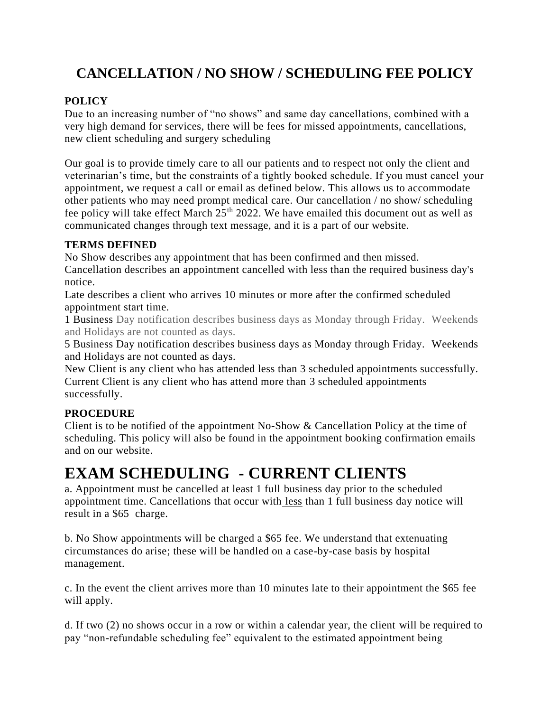## **CANCELLATION / NO SHOW / SCHEDULING FEE POLICY**

#### **POLICY**

Due to an increasing number of "no shows" and same day cancellations, combined with a very high demand for services, there will be fees for missed appointments, cancellations, new client scheduling and surgery scheduling

Our goal is to provide timely care to all our patients and to respect not only the client and veterinarian's time, but the constraints of a tightly booked schedule. If you must cancel your appointment, we request a call or email as defined below. This allows us to accommodate other patients who may need prompt medical care. Our cancellation / no show/ scheduling fee policy will take effect March  $25<sup>th</sup> 2022$ . We have emailed this document out as well as communicated changes through text message, and it is a part of our website.

#### **TERMS DEFINED**

No Show describes any appointment that has been confirmed and then missed.

Cancellation describes an appointment cancelled with less than the required business day's notice.

Late describes a client who arrives 10 minutes or more after the confirmed scheduled appointment start time.

1 Business Day notification describes business days as Monday through Friday. Weekends and Holidays are not counted as days.

5 Business Day notification describes business days as Monday through Friday. Weekends and Holidays are not counted as days.

New Client is any client who has attended less than 3 scheduled appointments successfully. Current Client is any client who has attend more than 3 scheduled appointments successfully.

#### **PROCEDURE**

Client is to be notified of the appointment No-Show & Cancellation Policy at the time of scheduling. This policy will also be found in the appointment booking confirmation emails and on our website.

## **EXAM SCHEDULING - CURRENT CLIENTS**

a. Appointment must be cancelled at least 1 full business day prior to the scheduled appointment time. Cancellations that occur with less than 1 full business day notice will result in a \$65 charge.

b. No Show appointments will be charged a \$65 fee. We understand that extenuating circumstances do arise; these will be handled on a case-by-case basis by hospital management.

c. In the event the client arrives more than 10 minutes late to their appointment the \$65 fee will apply.

d. If two (2) no shows occur in a row or within a calendar year, the client will be required to pay "non-refundable scheduling fee" equivalent to the estimated appointment being